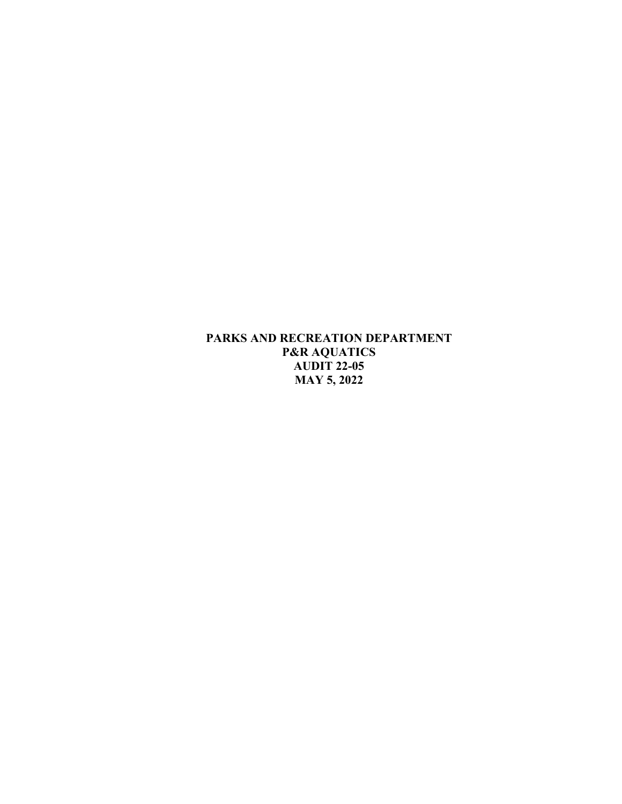**PARKS AND RECREATION DEPARTMENT P&R AQUATICS AUDIT 22-05 MAY 5, 2022**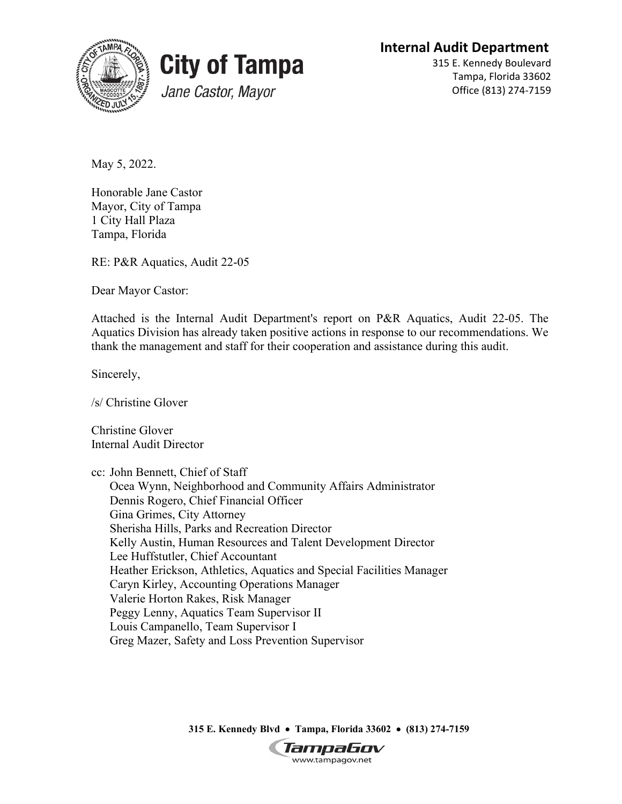**Internal Audit Department**





315 E. Kennedy Boulevard Tampa, Florida 33602 Office (813) 274-7159

May 5, 2022.

Honorable Jane Castor Mayor, City of Tampa 1 City Hall Plaza Tampa, Florida

RE: P&R Aquatics, Audit 22-05

Dear Mayor Castor:

Attached is the Internal Audit Department's report on P&R Aquatics, Audit 22-05. The Aquatics Division has already taken positive actions in response to our recommendations. We thank the management and staff for their cooperation and assistance during this audit.

Sincerely,

/s/ Christine Glover

Christine Glover Internal Audit Director

cc: John Bennett, Chief of Staff Ocea Wynn, Neighborhood and Community Affairs Administrator Dennis Rogero, Chief Financial Officer Gina Grimes, City Attorney Sherisha Hills, Parks and Recreation Director Kelly Austin, Human Resources and Talent Development Director Lee Huffstutler, Chief Accountant Heather Erickson, Athletics, Aquatics and Special Facilities Manager Caryn Kirley, Accounting Operations Manager Valerie Horton Rakes, Risk Manager Peggy Lenny, Aquatics Team Supervisor II Louis Campanello, Team Supervisor I Greg Mazer, Safety and Loss Prevention Supervisor

**315 E. Kennedy Blvd** • **Tampa, Florida 33602** • **(813) 274-7159**

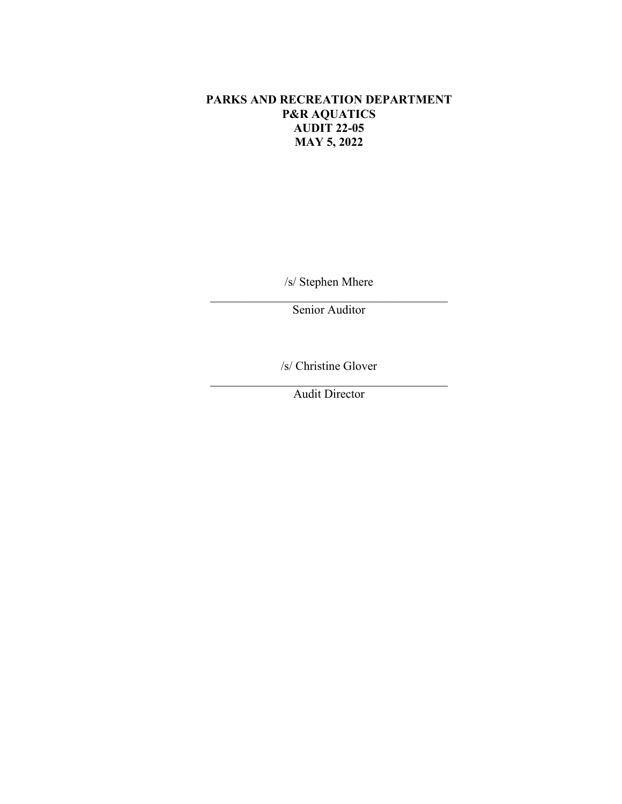# **PARKS AND RECREATION DEPARTMENT P&R AQUATICS AUDIT 22-05 MAY 5, 2022**

/s/ Stephen Mhere

\_\_\_\_\_\_\_\_\_\_\_\_\_\_\_\_\_\_\_\_\_\_\_\_\_\_\_\_\_\_\_\_\_\_\_\_\_\_\_ Senior Auditor

/s/ Christine Glover

\_\_\_\_\_\_\_\_\_\_\_\_\_\_\_\_\_\_\_\_\_\_\_\_\_\_\_\_\_\_\_\_\_\_\_\_\_\_\_ Audit Director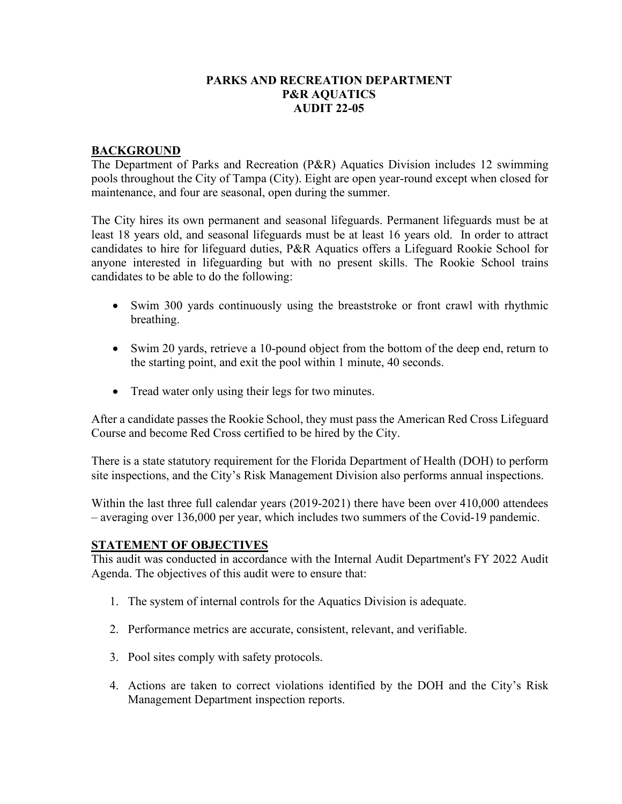#### **PARKS AND RECREATION DEPARTMENT P&R AQUATICS AUDIT 22-05**

#### **BACKGROUND**

The Department of Parks and Recreation (P&R) Aquatics Division includes 12 swimming pools throughout the City of Tampa (City). Eight are open year-round except when closed for maintenance, and four are seasonal, open during the summer.

The City hires its own permanent and seasonal lifeguards. Permanent lifeguards must be at least 18 years old, and seasonal lifeguards must be at least 16 years old. In order to attract candidates to hire for lifeguard duties, P&R Aquatics offers a Lifeguard Rookie School for anyone interested in lifeguarding but with no present skills. The Rookie School trains candidates to be able to do the following:

- Swim 300 yards continuously using the breaststroke or front crawl with rhythmic breathing.
- Swim 20 yards, retrieve a 10-pound object from the bottom of the deep end, return to the starting point, and exit the pool within 1 minute, 40 seconds.
- Tread water only using their legs for two minutes.

After a candidate passes the Rookie School, they must pass the American Red Cross Lifeguard Course and become Red Cross certified to be hired by the City.

There is a state statutory requirement for the Florida Department of Health (DOH) to perform site inspections, and the City's Risk Management Division also performs annual inspections.

Within the last three full calendar years (2019-2021) there have been over 410,000 attendees – averaging over 136,000 per year, which includes two summers of the Covid-19 pandemic.

#### **STATEMENT OF OBJECTIVES**

This audit was conducted in accordance with the Internal Audit Department's FY 2022 Audit Agenda. The objectives of this audit were to ensure that:

- 1. The system of internal controls for the Aquatics Division is adequate.
- 2. Performance metrics are accurate, consistent, relevant, and verifiable.
- 3. Pool sites comply with safety protocols.
- 4. Actions are taken to correct violations identified by the DOH and the City's Risk Management Department inspection reports.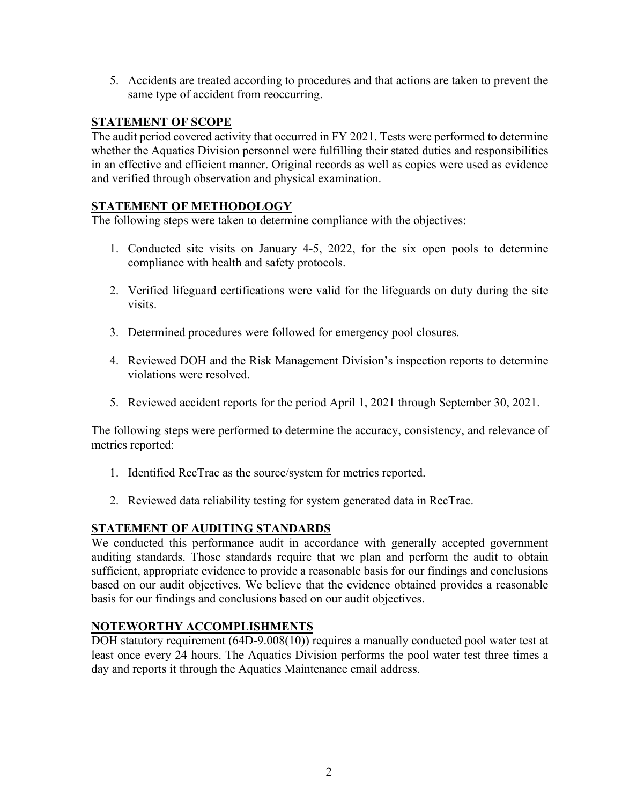5. Accidents are treated according to procedures and that actions are taken to prevent the same type of accident from reoccurring.

### **STATEMENT OF SCOPE**

The audit period covered activity that occurred in FY 2021. Tests were performed to determine whether the Aquatics Division personnel were fulfilling their stated duties and responsibilities in an effective and efficient manner. Original records as well as copies were used as evidence and verified through observation and physical examination.

### **STATEMENT OF METHODOLOGY**

The following steps were taken to determine compliance with the objectives:

- 1. Conducted site visits on January 4-5, 2022, for the six open pools to determine compliance with health and safety protocols.
- 2. Verified lifeguard certifications were valid for the lifeguards on duty during the site visits.
- 3. Determined procedures were followed for emergency pool closures.
- 4. Reviewed DOH and the Risk Management Division's inspection reports to determine violations were resolved.
- 5. Reviewed accident reports for the period April 1, 2021 through September 30, 2021.

The following steps were performed to determine the accuracy, consistency, and relevance of metrics reported:

- 1. Identified RecTrac as the source/system for metrics reported.
- 2. Reviewed data reliability testing for system generated data in RecTrac.

### **STATEMENT OF AUDITING STANDARDS**

We conducted this performance audit in accordance with generally accepted government auditing standards. Those standards require that we plan and perform the audit to obtain sufficient, appropriate evidence to provide a reasonable basis for our findings and conclusions based on our audit objectives. We believe that the evidence obtained provides a reasonable basis for our findings and conclusions based on our audit objectives.

### **NOTEWORTHY ACCOMPLISHMENTS**

DOH statutory requirement (64D-9.008(10)) requires a manually conducted pool water test at least once every 24 hours. The Aquatics Division performs the pool water test three times a day and reports it through the Aquatics Maintenance email address.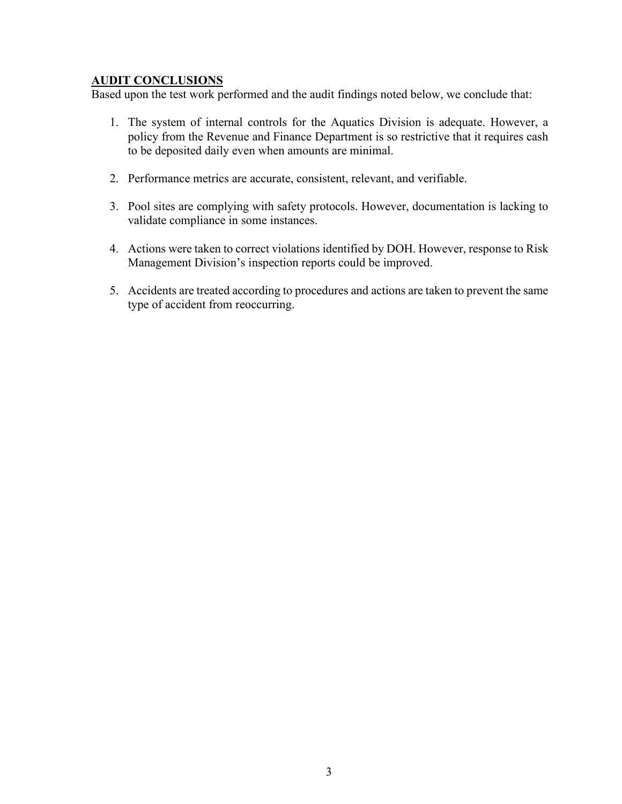### **AUDIT CONCLUSIONS**

Based upon the test work performed and the audit findings noted below, we conclude that:

- 1. The system of internal controls for the Aquatics Division is adequate. However, a policy from the Revenue and Finance Department is so restrictive that it requires cash to be deposited daily even when amounts are minimal.
- 2. Performance metrics are accurate, consistent, relevant, and verifiable.
- 3. Pool sites are complying with safety protocols. However, documentation is lacking to validate compliance in some instances.
- 4. Actions were taken to correct violations identified by DOH. However, response to Risk Management Division's inspection reports could be improved.
- 5. Accidents are treated according to procedures and actions are taken to prevent the same type of accident from reoccurring.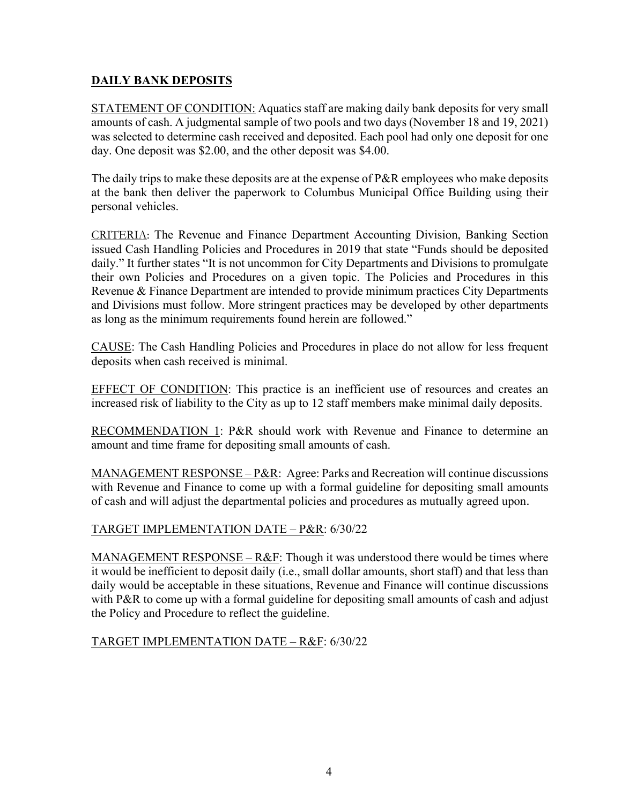# **DAILY BANK DEPOSITS**

STATEMENT OF CONDITION: Aquatics staff are making daily bank deposits for very small amounts of cash. A judgmental sample of two pools and two days (November 18 and 19, 2021) was selected to determine cash received and deposited. Each pool had only one deposit for one day. One deposit was \$2.00, and the other deposit was \$4.00.

The daily trips to make these deposits are at the expense of P&R employees who make deposits at the bank then deliver the paperwork to Columbus Municipal Office Building using their personal vehicles.

CRITERIA: The Revenue and Finance Department Accounting Division, Banking Section issued Cash Handling Policies and Procedures in 2019 that state "Funds should be deposited daily." It further states "It is not uncommon for City Departments and Divisions to promulgate their own Policies and Procedures on a given topic. The Policies and Procedures in this Revenue & Finance Department are intended to provide minimum practices City Departments and Divisions must follow. More stringent practices may be developed by other departments as long as the minimum requirements found herein are followed."

CAUSE: The Cash Handling Policies and Procedures in place do not allow for less frequent deposits when cash received is minimal.

EFFECT OF CONDITION: This practice is an inefficient use of resources and creates an increased risk of liability to the City as up to 12 staff members make minimal daily deposits.

RECOMMENDATION 1: P&R should work with Revenue and Finance to determine an amount and time frame for depositing small amounts of cash.

MANAGEMENT RESPONSE – P&R: Agree: Parks and Recreation will continue discussions with Revenue and Finance to come up with a formal guideline for depositing small amounts of cash and will adjust the departmental policies and procedures as mutually agreed upon.

### TARGET IMPLEMENTATION DATE – P&R: 6/30/22

MANAGEMENT RESPONSE –  $R&F$ : Though it was understood there would be times where it would be inefficient to deposit daily (i.e., small dollar amounts, short staff) and that less than daily would be acceptable in these situations, Revenue and Finance will continue discussions with P&R to come up with a formal guideline for depositing small amounts of cash and adjust the Policy and Procedure to reflect the guideline.

TARGET IMPLEMENTATION DATE – R&F: 6/30/22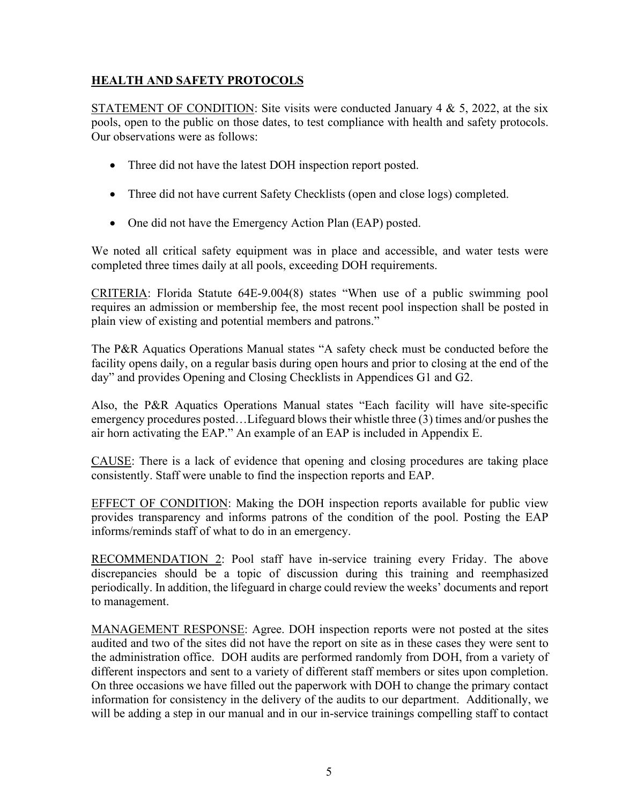# **HEALTH AND SAFETY PROTOCOLS**

STATEMENT OF CONDITION: Site visits were conducted January 4 & 5, 2022, at the six pools, open to the public on those dates, to test compliance with health and safety protocols. Our observations were as follows:

- Three did not have the latest DOH inspection report posted.
- Three did not have current Safety Checklists (open and close logs) completed.
- One did not have the Emergency Action Plan (EAP) posted.

We noted all critical safety equipment was in place and accessible, and water tests were completed three times daily at all pools, exceeding DOH requirements.

CRITERIA: Florida Statute 64E-9.004(8) states "When use of a public swimming pool requires an admission or membership fee, the most recent pool inspection shall be posted in plain view of existing and potential members and patrons."

The P&R Aquatics Operations Manual states "A safety check must be conducted before the facility opens daily, on a regular basis during open hours and prior to closing at the end of the day" and provides Opening and Closing Checklists in Appendices G1 and G2.

Also, the P&R Aquatics Operations Manual states "Each facility will have site-specific emergency procedures posted…Lifeguard blows their whistle three (3) times and/or pushes the air horn activating the EAP." An example of an EAP is included in Appendix E.

CAUSE: There is a lack of evidence that opening and closing procedures are taking place consistently. Staff were unable to find the inspection reports and EAP.

EFFECT OF CONDITION: Making the DOH inspection reports available for public view provides transparency and informs patrons of the condition of the pool. Posting the EAP informs/reminds staff of what to do in an emergency.

RECOMMENDATION 2: Pool staff have in-service training every Friday. The above discrepancies should be a topic of discussion during this training and reemphasized periodically. In addition, the lifeguard in charge could review the weeks' documents and report to management.

MANAGEMENT RESPONSE: Agree. DOH inspection reports were not posted at the sites audited and two of the sites did not have the report on site as in these cases they were sent to the administration office. DOH audits are performed randomly from DOH, from a variety of different inspectors and sent to a variety of different staff members or sites upon completion. On three occasions we have filled out the paperwork with DOH to change the primary contact information for consistency in the delivery of the audits to our department. Additionally, we will be adding a step in our manual and in our in-service trainings compelling staff to contact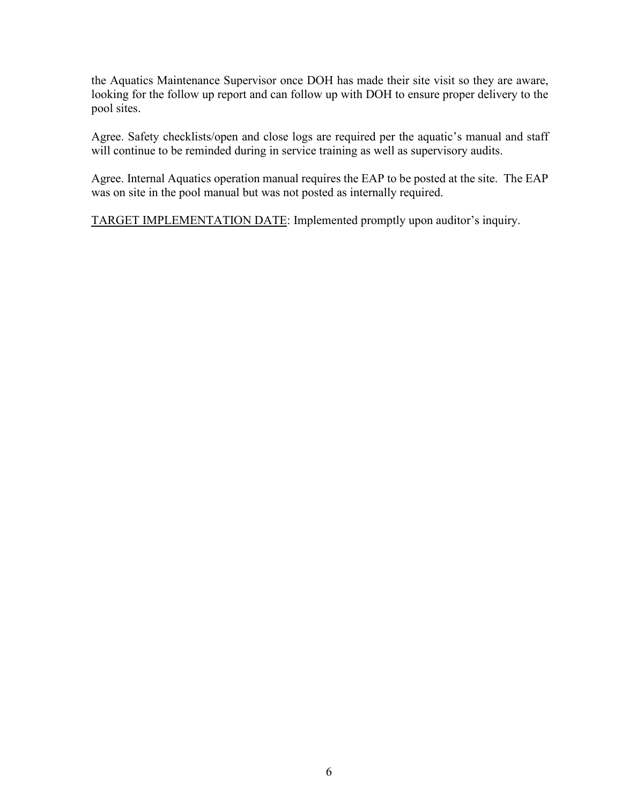the Aquatics Maintenance Supervisor once DOH has made their site visit so they are aware, looking for the follow up report and can follow up with DOH to ensure proper delivery to the pool sites.

Agree. Safety checklists/open and close logs are required per the aquatic's manual and staff will continue to be reminded during in service training as well as supervisory audits.

Agree. Internal Aquatics operation manual requires the EAP to be posted at the site. The EAP was on site in the pool manual but was not posted as internally required.

TARGET IMPLEMENTATION DATE: Implemented promptly upon auditor's inquiry.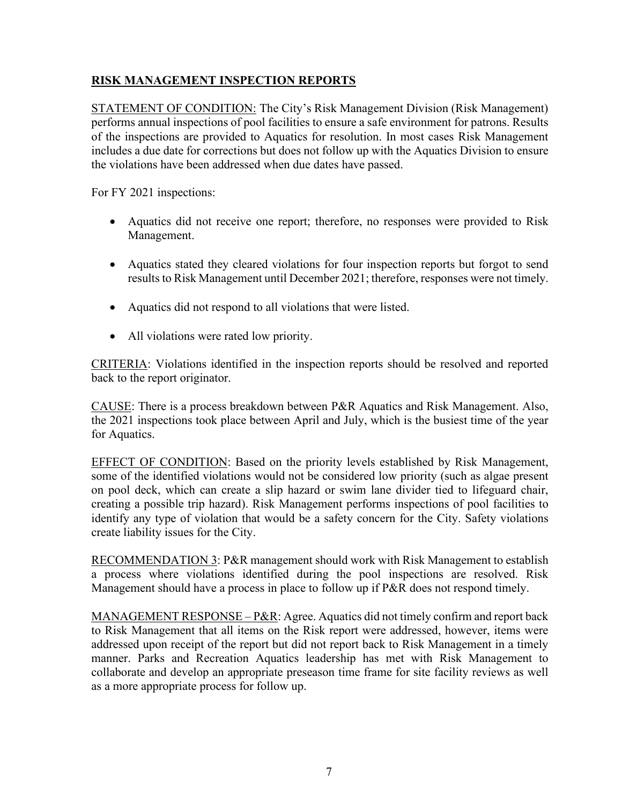## **RISK MANAGEMENT INSPECTION REPORTS**

STATEMENT OF CONDITION: The City's Risk Management Division (Risk Management) performs annual inspections of pool facilities to ensure a safe environment for patrons. Results of the inspections are provided to Aquatics for resolution. In most cases Risk Management includes a due date for corrections but does not follow up with the Aquatics Division to ensure the violations have been addressed when due dates have passed.

For FY 2021 inspections:

- Aquatics did not receive one report; therefore, no responses were provided to Risk Management.
- Aquatics stated they cleared violations for four inspection reports but forgot to send results to Risk Management until December 2021; therefore, responses were not timely.
- Aquatics did not respond to all violations that were listed.
- All violations were rated low priority.

CRITERIA: Violations identified in the inspection reports should be resolved and reported back to the report originator.

CAUSE: There is a process breakdown between P&R Aquatics and Risk Management. Also, the 2021 inspections took place between April and July, which is the busiest time of the year for Aquatics.

EFFECT OF CONDITION: Based on the priority levels established by Risk Management, some of the identified violations would not be considered low priority (such as algae present on pool deck, which can create a slip hazard or swim lane divider tied to lifeguard chair, creating a possible trip hazard). Risk Management performs inspections of pool facilities to identify any type of violation that would be a safety concern for the City. Safety violations create liability issues for the City.

RECOMMENDATION 3: P&R management should work with Risk Management to establish a process where violations identified during the pool inspections are resolved. Risk Management should have a process in place to follow up if P&R does not respond timely.

MANAGEMENT RESPONSE –  $P\&R$ : Agree. Aquatics did not timely confirm and report back to Risk Management that all items on the Risk report were addressed, however, items were addressed upon receipt of the report but did not report back to Risk Management in a timely manner. Parks and Recreation Aquatics leadership has met with Risk Management to collaborate and develop an appropriate preseason time frame for site facility reviews as well as a more appropriate process for follow up.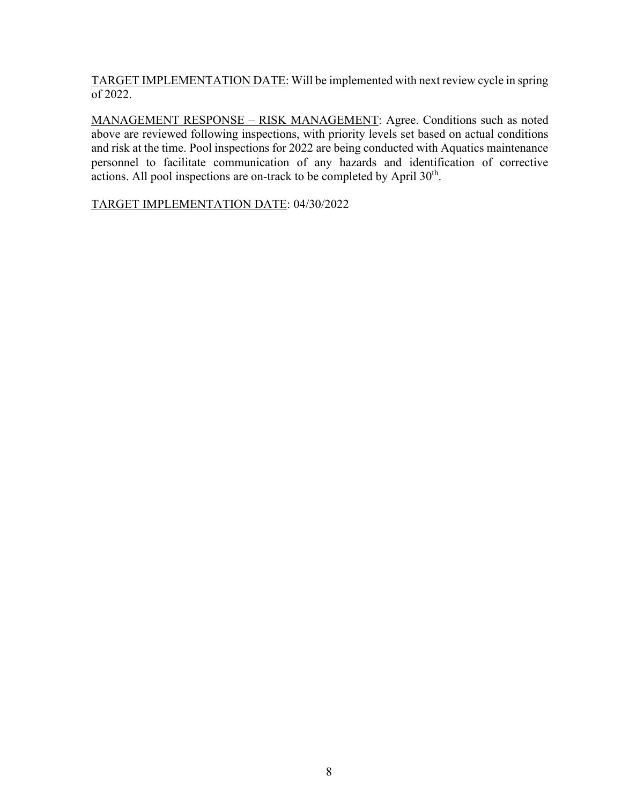TARGET IMPLEMENTATION DATE: Will be implemented with next review cycle in spring of 2022.

MANAGEMENT RESPONSE – RISK MANAGEMENT: Agree. Conditions such as noted above are reviewed following inspections, with priority levels set based on actual conditions and risk at the time. Pool inspections for 2022 are being conducted with Aquatics maintenance personnel to facilitate communication of any hazards and identification of corrective actions. All pool inspections are on-track to be completed by April 30<sup>th</sup>.

TARGET IMPLEMENTATION DATE: 04/30/2022